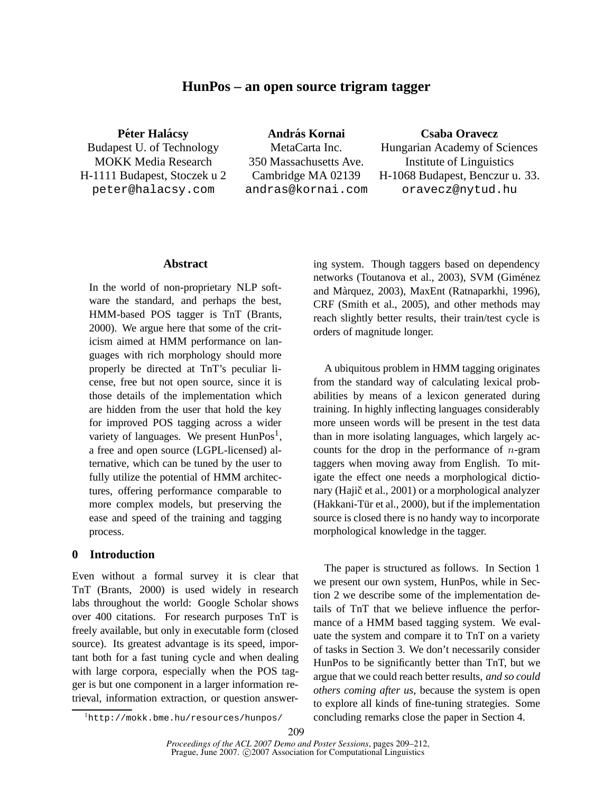# **HunPos – an open source trigram tagger**

**Péter Halácsy** Budapest U. of Technology MOKK Media Research H-1111 Budapest, Stoczek u 2 peter@halacsy.com

**Andras Kornai ´** MetaCarta Inc. 350 Massachusetts Ave. Cambridge MA 02139 andras@kornai.com **Csaba Oravecz**

Hungarian Academy of Sciences Institute of Linguistics H-1068 Budapest, Benczur u. 33. oravecz@nytud.hu

### **Abstract**

In the world of non-proprietary NLP software the standard, and perhaps the best, HMM-based POS tagger is TnT (Brants, 2000). We argue here that some of the criticism aimed at HMM performance on languages with rich morphology should more properly be directed at TnT's peculiar license, free but not open source, since it is those details of the implementation which are hidden from the user that hold the key for improved POS tagging across a wider variety of languages. We present  $\text{HunPos}^1$ , a free and open source (LGPL-licensed) alternative, which can be tuned by the user to fully utilize the potential of HMM architectures, offering performance comparable to more complex models, but preserving the ease and speed of the training and tagging process.

### **0 Introduction**

Even without a formal survey it is clear that TnT (Brants, 2000) is used widely in research labs throughout the world: Google Scholar shows over 400 citations. For research purposes TnT is freely available, but only in executable form (closed source). Its greatest advantage is its speed, important both for a fast tuning cycle and when dealing with large corpora, especially when the POS tagger is but one component in a larger information retrieval, information extraction, or question answering system. Though taggers based on dependency networks (Toutanova et al., 2003), SVM (Giménez and Màrquez, 2003), MaxEnt (Ratnaparkhi, 1996), CRF (Smith et al., 2005), and other methods may reach slightly better results, their train/test cycle is orders of magnitude longer.

A ubiquitous problem in HMM tagging originates from the standard way of calculating lexical probabilities by means of a lexicon generated during training. In highly inflecting languages considerably more unseen words will be present in the test data than in more isolating languages, which largely accounts for the drop in the performance of  $n$ -gram taggers when moving away from English. To mitigate the effect one needs a morphological dictionary (Hajič et al., 2001) or a morphological analyzer (Hakkani-Tür et al., 2000), but if the implementation source is closed there is no handy way to incorporate morphological knowledge in the tagger.

The paper is structured as follows. In Section 1 we present our own system, HunPos, while in Section 2 we describe some of the implementation details of TnT that we believe influence the performance of a HMM based tagging system. We evaluate the system and compare it to TnT on a variety of tasks in Section 3. We don't necessarily consider HunPos to be significantly better than TnT, but we argue that we could reach better results, *and so could others coming after us,* because the system is open to explore all kinds of fine-tuning strategies. Some concluding remarks close the paper in Section 4.

<sup>1</sup>http://mokk.bme.hu/resources/hunpos/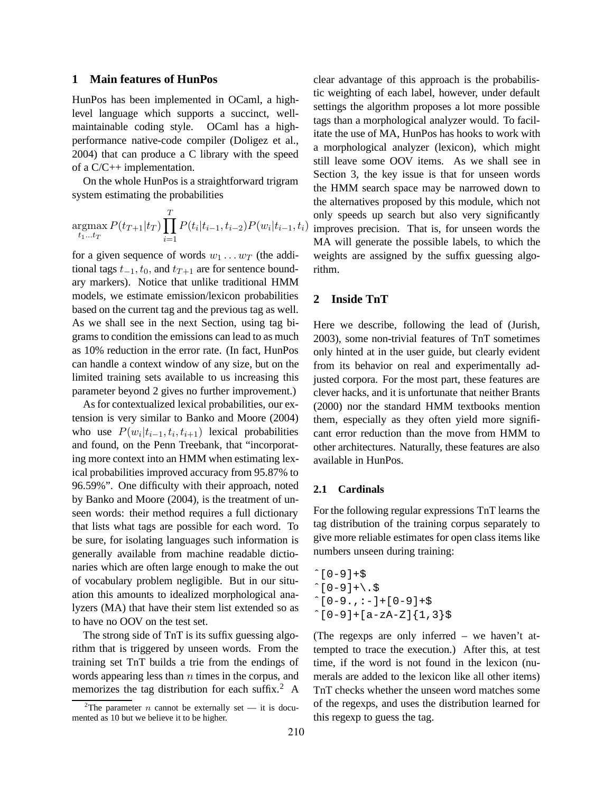### **1 Main features of HunPos**

HunPos has been implemented in OCaml, a highlevel language which supports a succinct, wellmaintainable coding style. OCaml has a highperformance native-code compiler (Doligez et al., 2004) that can produce a C library with the speed of a C/C++ implementation.

On the whole HunPos is a straightforward trigram system estimating the probabilities

$$
\underset{t_1...t_T}{\text{argmax}} P(t_{T+1}|t_T) \prod_{i=1}^T P(t_i|t_{i-1}, t_{i-2}) P(w_i|t_{i-1}, t_i)
$$

for a given sequence of words  $w_1 \dots w_T$  (the additional tags  $t_{-1}$ ,  $t_0$ , and  $t_{T+1}$  are for sentence boundary markers). Notice that unlike traditional HMM models, we estimate emission/lexicon probabilities based on the current tag and the previous tag as well. As we shall see in the next Section, using tag bigrams to condition the emissions can lead to as much as 10% reduction in the error rate. (In fact, HunPos can handle a context window of any size, but on the limited training sets available to us increasing this parameter beyond 2 gives no further improvement.)

As for contextualized lexical probabilities, our extension is very similar to Banko and Moore (2004) who use  $P(w_i|t_{i-1}, t_i, t_{i+1})$  lexical probabilities and found, on the Penn Treebank, that "incorporating more context into an HMM when estimating lexical probabilities improved accuracy from 95.87% to 96.59%". One difficulty with their approach, noted by Banko and Moore (2004), is the treatment of unseen words: their method requires a full dictionary that lists what tags are possible for each word. To be sure, for isolating languages such information is generally available from machine readable dictionaries which are often large enough to make the out of vocabulary problem negligible. But in our situation this amounts to idealized morphological analyzers (MA) that have their stem list extended so as to have no OOV on the test set.

The strong side of TnT is its suffix guessing algorithm that is triggered by unseen words. From the training set TnT builds a trie from the endings of words appearing less than  $n$  times in the corpus, and memorizes the tag distribution for each suffix. $^2$  A

 $|t_{i-1}, t_i\rangle$  improves precision. That is, for unseen words the clear advantage of this approach is the probabilistic weighting of each label, however, under default settings the algorithm proposes a lot more possible tags than a morphological analyzer would. To facilitate the use of MA, HunPos has hooks to work with a morphological analyzer (lexicon), which might still leave some OOV items. As we shall see in Section 3, the key issue is that for unseen words the HMM search space may be narrowed down to the alternatives proposed by this module, which not only speeds up search but also very significantly MA will generate the possible labels, to which the weights are assigned by the suffix guessing algorithm.

## **2 Inside TnT**

Here we describe, following the lead of (Jurish, 2003), some non-trivial features of TnT sometimes only hinted at in the user guide, but clearly evident from its behavior on real and experimentally adjusted corpora. For the most part, these features are clever hacks, and it is unfortunate that neither Brants (2000) nor the standard HMM textbooks mention them, especially as they often yield more significant error reduction than the move from HMM to other architectures. Naturally, these features are also available in HunPos.

### **2.1 Cardinals**

For the following regular expressions TnT learns the tag distribution of the training corpus separately to give more reliable estimates for open class items like numbers unseen during training:

 $^{\circ}$ [0-9]+\$  $^{\circ}$ [0-9] + \ . \$  $^{\circ}$ [0-9., : -] + [0-9] +\$  $^{\circ}$ [0-9]+[a-zA-Z]{1,3}\$

(The regexps are only inferred – we haven't attempted to trace the execution.) After this, at test time, if the word is not found in the lexicon (numerals are added to the lexicon like all other items) TnT checks whether the unseen word matches some of the regexps, and uses the distribution learned for this regexp to guess the tag.

<sup>&</sup>lt;sup>2</sup>The parameter *n* cannot be externally set — it is documented as 10 but we believe it to be higher.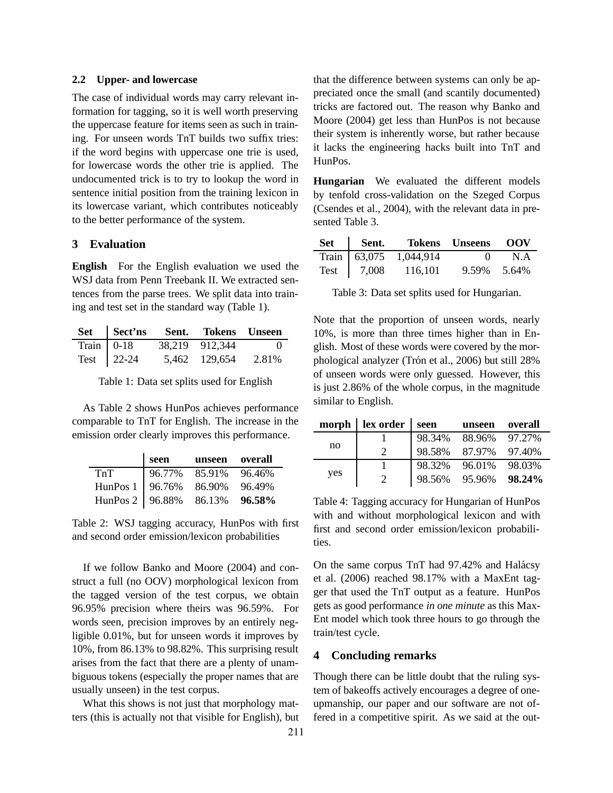### **2.2 Upper- and lowercase**

The case of individual words may carry relevant information for tagging, so it is well worth preserving the uppercase feature for items seen as such in training. For unseen words TnT builds two suffix tries: if the word begins with uppercase one trie is used, for lowercase words the other trie is applied. The undocumented trick is to try to lookup the word in sentence initial position from the training lexicon in its lowercase variant, which contributes noticeably to the better performance of the system.

# **3 Evaluation**

**English** For the English evaluation we used the WSJ data from Penn Treebank II. We extracted sentences from the parse trees. We split data into training and test set in the standard way (Table 1).

|                                |            | Set Sect'ns Sent. Tokens Unseen |          |
|--------------------------------|------------|---------------------------------|----------|
| $\overline{\text{Train}}$ 0-18 |            | 38,219 912,344                  | $\sim$ 0 |
|                                | Test 22-24 | 5,462 129,654                   | 2.81%    |

Table 1: Data set splits used for English

As Table 2 shows HunPos achieves performance comparable to TnT for English. The increase in the emission order clearly improves this performance.

|                             | seen | unseen overall |        |
|-----------------------------|------|----------------|--------|
| TnT                         |      | 96.77% 85.91%  | 96.46% |
| HunPos 1   96.76% 86.90%    |      |                | 96.49% |
| HunPos 2   $96.88\%$ 86.13% |      |                | 96.58% |

Table 2: WSJ tagging accuracy, HunPos with first and second order emission/lexicon probabilities

If we follow Banko and Moore (2004) and construct a full (no OOV) morphological lexicon from the tagged version of the test corpus, we obtain 96.95% precision where theirs was 96.59%. For words seen, precision improves by an entirely negligible 0.01%, but for unseen words it improves by 10%, from 86.13% to 98.82%. This surprising result arises from the fact that there are a plenty of unambiguous tokens (especially the proper names that are usually unseen) in the test corpus.

What this shows is not just that morphology matters (this is actually not that visible for English), but that the difference between systems can only be appreciated once the small (and scantily documented) tricks are factored out. The reason why Banko and Moore (2004) get less than HunPos is not because their system is inherently worse, but rather because it lacks the engineering hacks built into TnT and HunPos.

**Hungarian** We evaluated the different models by tenfold cross-validation on the Szeged Corpus (Csendes et al., 2004), with the relevant data in presented Table 3.

|  | Set Sent. Tokens Unseens OOV |              |     |
|--|------------------------------|--------------|-----|
|  | Train 63,075 1,044,914       | $\mathbf{0}$ | N.A |
|  | Test   $7,008$ 116,101       | 9.59% 5.64%  |     |

Table 3: Data set splits used for Hungarian.

Note that the proportion of unseen words, nearly 10%, is more than three times higher than in English. Most of these words were covered by the morphological analyzer (Trón et al., 2006) but still 28% of unseen words were only guessed. However, this is just 2.86% of the whole corpus, in the magnitude similar to English.

|     | $morph \mid lex \norder$ | seen   | unseen        | overall |
|-----|--------------------------|--------|---------------|---------|
| no  |                          | 98.34% | 88.96% 97.27% |         |
|     | $\mathcal{D}$            | 98.58% | 87.97% 97.40% |         |
| yes |                          | 98.32% | 96.01%        | 98.03%  |
|     |                          | 98.56% | 95.96%        | 98.24%  |

Table 4: Tagging accuracy for Hungarian of HunPos with and without morphological lexicon and with first and second order emission/lexicon probabilities.

On the same corpus TnT had 97.42% and Halácsy et al. (2006) reached 98.17% with a MaxEnt tagger that used the TnT output as a feature. HunPos gets as good performance *in one minute* as this Max-Ent model which took three hours to go through the train/test cycle.

### **4 Concluding remarks**

Though there can be little doubt that the ruling system of bakeoffs actively encourages a degree of oneupmanship, our paper and our software are not offered in a competitive spirit. As we said at the out